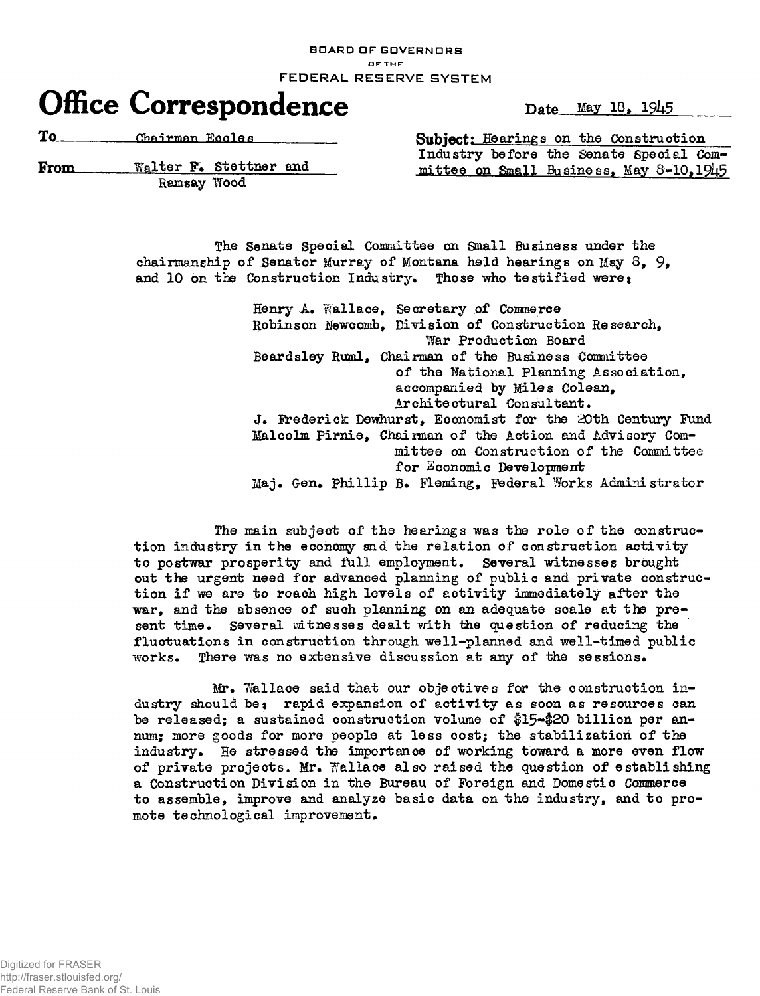BOARD OF GOVERNORS OF THE FEDERAL RESERVE SYSTEM

## **Office Correspondence** Date May 18, 1945

To<sub>\_\_\_\_\_\_\_\_\_\_\_\_\_Chairman Eccles</sub>

From Walter F. Stettner and Ramsay Wood Subject: Hearings on the Construction Industry before the Senate Special Committee on Small Business, May 8-10,1945

> The Senate Special Committee on Small Business under the chairmanship of Senator Murray of Montana held hearings on May  $8, 9$ , and 10 on the Construction Industry. Those who testified were:

> > Henry A. Wallace, Secretary of Commerce Robinson Mewcomb, Division of Construction Research, War Production Board Beardsley Ruml, Chairman of the Business Committee of the National Planning Association, accompanied by Miles Colean, Architectural Consultant. J. Frederick Dewhurst, Economist for the 20th Century Fund Malcolm Pirnie, Chairman of the Action and Advisory Committee on Construction of the Committee for Economic Development Maj. Gen. Phillip B. Fleming, Federal Works Administrator

The main subject of the hearings was the role of the construction industry in the economy and the relation of construction activity to postwar prosperity and full employment. Several witnesses brought out the urgent need for advanced planning of public and private construction if we are to reach high levels of activity immediately after the war, and the absence of such planning on an adequate scale at the present time. Several witnesses dealt with the question of reducing the fluctuations in construction through well-planned and well-timed public works. There was no extensive discussion at any of the sessions.

Mr» Wallace said that our objectives for the construction industry should be: rapid expansion of activity as soon as resources can be released; a sustained construction volume of \$15-\$20 billion per annum; more goods for more people at less cost; the stabilization of the industry. He stressed the importance of working toward a more even flow of private projects. Mr. Wallace also raised the question of establishing a Construction Division in the Bureau of Foreign and Domestic Commerce to assemble, improve and analyze basic data on the industry, and to promote technological improvement.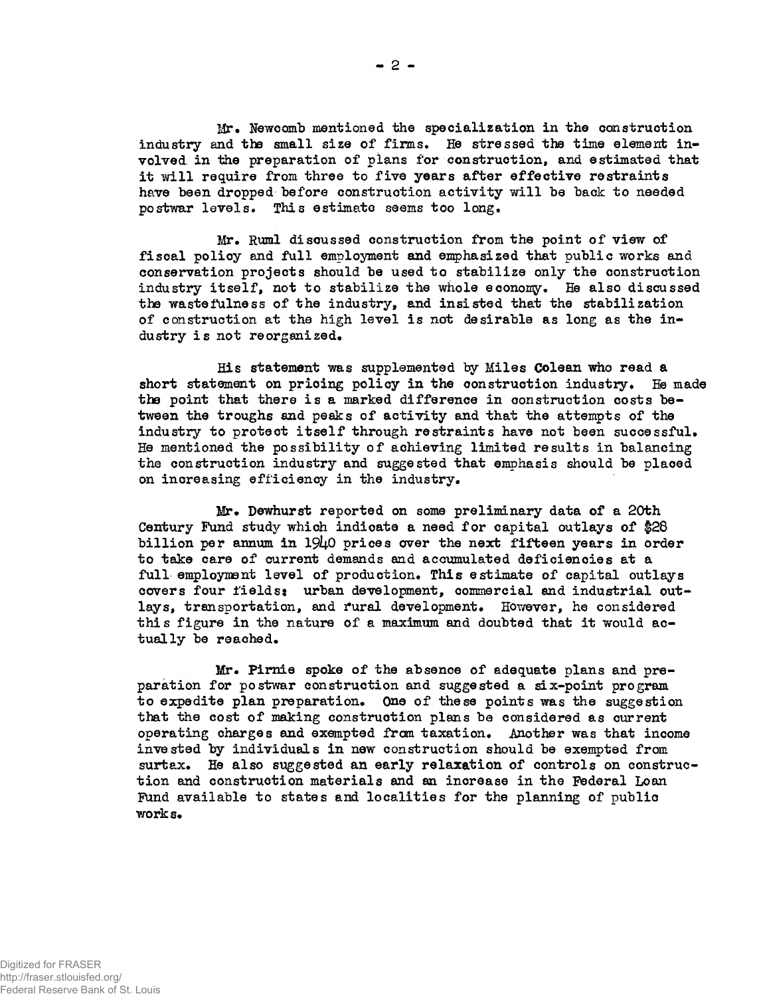Mr. Newcomb mentioned the specialization in the construction industry and the small size of firms. He stressed the time element involved in the preparation of plans for construction, and estimated that it will require from three to five years after effective restraints have been dropped before construction activity will be back to needed postwar levels. This estimate seems too long.

Mr. Ruml discussed construction from the point of view of fiscal policy and full employment and emphasized that public works and conservation projects should be used to stabilize only the construction industry itself, not to stabilize the whole economy. He also discussed the wastefulness of the industry, and insisted that the stabilization of construction at the high level is not desirable as long as the  $in$ dustry is not reorganized.

His statement was supplemented by Miles Colean who read a short statement on pricing policy in the construction industry. He made the point that there is a marked difference in construction costs between the troughs and peaks of activity and that the attempts of the industry to protect itself through restraints have not been successful. He mentioned the possibility of achieving limited results in balancing the construction industry and suggested that emphasis should be placed on increasing efficiency in the industry.

Mr. Dewhurst reported on some preliminary data of a 20th Century Fund study which indicate a need for capital outlays of \$28 billion per annum in  $19\mu$ O prices over the next fifteen years in order to take care of current demands and accumulated deficiencies at a full employment level of production. This estimate of capital outlays covers four fields: urban development, commercial and industrial outlays, transportation, and rural development. However, he considered this figure in the nature of a maximum and doubted that it would actually be reached.

Mr. Pirnie spoke of the absence of adequate plans and preparation for postwar construction and suggested a six-point program to expedite plan preparation. One of these points was the suggestion that the cost of making construction plans be considered as current operating charges and exempted from taxation. Mother was that income invested by individuals in new construction should be exempted from surtax. He also suggested an early relaxation of controls on construction and construction materials and an increase in the Federal Loan Fund available to states and localities for the planning of public works»

**- 2 -**